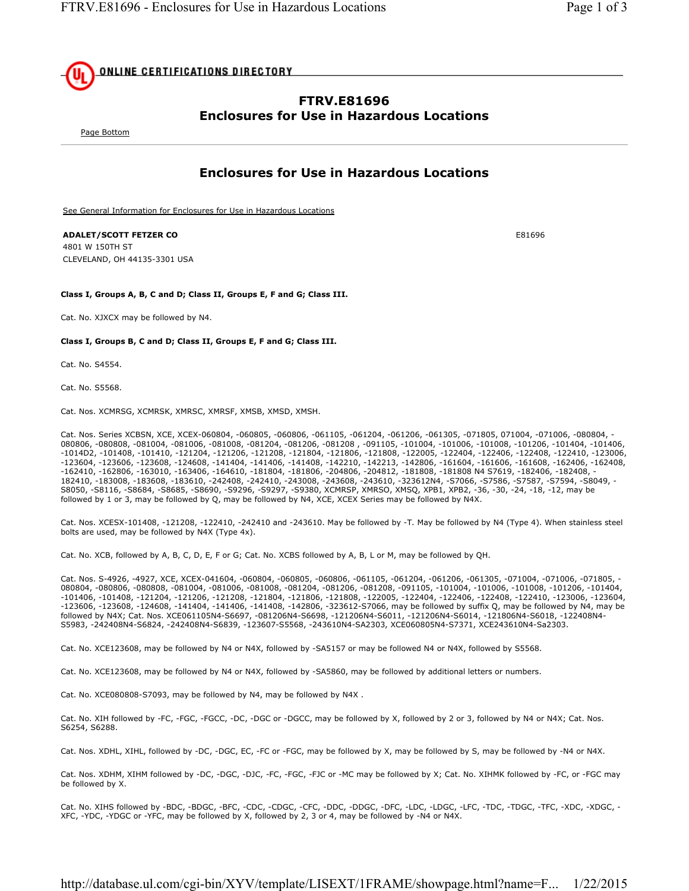

# **FTRV.E81696 Enclosures for Use in Hazardous Locations**

Page Bottom

## **Enclosures for Use in Hazardous Locations**

See General Information for Enclosures for Use in Hazardous Locations

### **ADALET/SCOTT FETZER CO** E81696

4801 W 150TH ST CLEVELAND, OH 44135-3301 USA

### **Class I, Groups A, B, C and D; Class II, Groups E, F and G; Class III.**

Cat. No. XJXCX may be followed by N4.

#### **Class I, Groups B, C and D; Class II, Groups E, F and G; Class III.**

Cat. No. S4554.

Cat. No. S5568.

Cat. Nos. XCMRSG, XCMRSK, XMRSC, XMRSF, XMSB, XMSD, XMSH.

Cat. Nos. Series XCBSN, XCE, XCEX-060804, -060805, -060806, -061105, -061204, -061206, -061305, -071805, 071004, -071006, -080804, - 080806, -080808, -081004, -081006, -081008, -081204, -081206, -081208 , -091105, -101004, -101006, -101008, -101206, -101404, -101406, -1014D2, -101408, -101410, -121204, -121206, -121208, -121804, -121806, -121808, -122005, -122404, -122406, -122408, -122410, -123006, -123604, -123606, -123608, -124608, -141404, -141406, -141408, -142210, -142213, -142806, -161604, -161606, -161608, -162406, -162408, -162410, -162806, -163010, -163406, -164610, -181804, -181806, -204806, -204812, -181808, -181808 N4 S7619, -182406, -182408, - 182410, -183008, -183608, -183610, -242408, -242410, -243008, -243608, -243610, -323612N4, -S7066, -S7586, -S7587, -S7594, -S8049, - S8050, -S8116, -S8684, -S8685, -S8690, -S9296, -S9297, -S9380, XCMRSP, XMRSO, XMSQ, XPB1, XPB2, -36, -30, -24, -18, -12, may be followed by 1 or 3, may be followed by Q, may be followed by N4, XCE, XCEX Series may be followed by N4X.

Cat. Nos. XCESX-101408, -121208, -122410, -242410 and -243610. May be followed by -T. May be followed by N4 (Type 4). When stainless steel bolts are used, may be followed by N4X (Type 4x).

Cat. No. XCB, followed by A, B, C, D, E, F or G; Cat. No. XCBS followed by A, B, L or M, may be followed by QH.

Cat. Nos. S-4926, -4927, XCE, XCEX-041604, -060804, -060805, -060806, -061105, -061204, -061206, -061305, -071004, -071006, -071805, - 080804, -080806, -080808, -081004, -081006, -081008, -081204, -081206, -081208, -091105, -101004, -101006, -101008, -101206, -101404, -101406, -101408, -121204, -121206, -121208, -121804, -121806, -121808, -122005, -122404, -122406, -122408, -122410, -123006, -123604, -123606, -123608, -124608, -141404, -141406, -141408, -142806, -323612-S7066, may be followed by suffix Q, may be followed by N4, may be followed by N4X; Cat. Nos. XCE061105N4-S6697, -081206N4-S6698, -121206N4-S6011, -121206N4-S6014, -121806N4-S6018, -122408N4- S5983, -242408N4-S6824, -242408N4-S6839, -123607-S5568, -243610N4-SA2303, XCE060805N4-S7371, XCE243610N4-Sa2303.

Cat. No. XCE123608, may be followed by N4 or N4X, followed by -SA5157 or may be followed N4 or N4X, followed by S5568.

Cat. No. XCE123608, may be followed by N4 or N4X, followed by -SA5860, may be followed by additional letters or numbers.

Cat. No. XCE080808-S7093, may be followed by N4, may be followed by N4X .

Cat. No. XIH followed by -FC, -FGC, -FGCC, -DC, -DGC or -DGCC, may be followed by X, followed by 2 or 3, followed by N4 or N4X; Cat. Nos. S6254, S6288.

Cat. Nos. XDHL, XIHL, followed by -DC, -DGC, EC, -FC or -FGC, may be followed by X, may be followed by S, may be followed by -N4 or N4X.

Cat. Nos. XDHM, XIHM followed by -DC, -DGC, -DJC, -FC, -FGC, -FJC or -MC may be followed by X; Cat. No. XIHMK followed by -FC, or -FGC may be followed by X.

Cat. No. XIHS followed by -BDC, -BDGC, -BFC, -CDC, -CDGC, -CFC, -DDC, -DDGC, -DFC, -LDC, -LDGC, -LFC, -TDC, -TDGC, -TFC, -XDC, -XDGC, - XFC, -YDC, -YDGC or -YFC, may be followed by X, followed by 2, 3 or 4, may be followed by -N4 or N4X.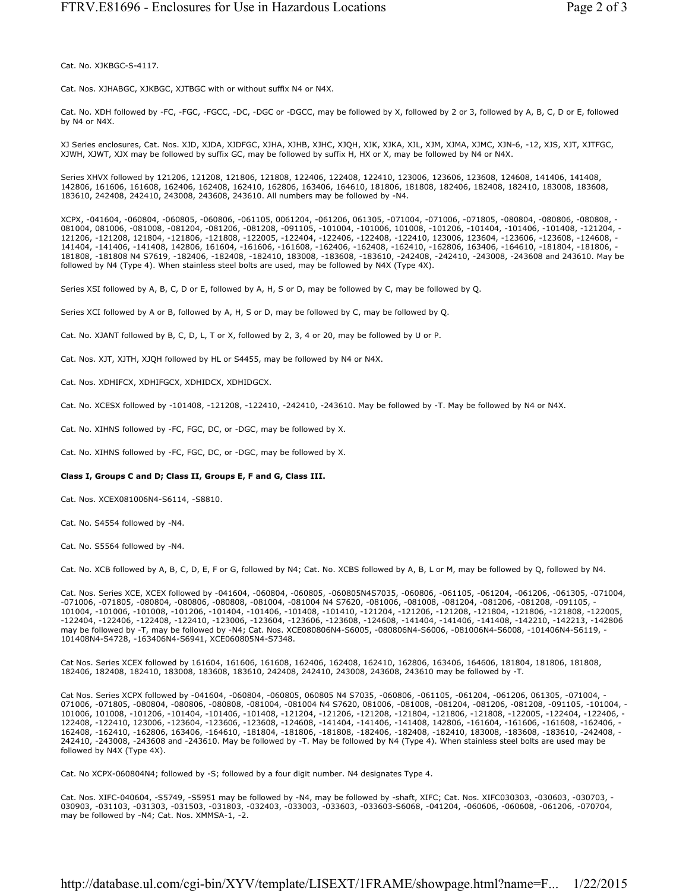Cat. No. XJKBGC-S-4117.

Cat. Nos. XJHABGC, XJKBGC, XJTBGC with or without suffix N4 or N4X.

Cat. No. XDH followed by -FC, -FGC, -FGCC, -DC, -DGC or -DGCC, may be followed by X, followed by 2 or 3, followed by A, B, C, D or E, followed by N4 or N4X.

XJ Series enclosures, Cat. Nos. XJD, XJDA, XJDFGC, XJHA, XJHB, XJHC, XJQH, XJK, XJKA, XJL, XJM, XJMA, XJMC, XJN-6, -12, XJS, XJT, XJTFGC, XJWH, XJWT, XJX may be followed by suffix GC, may be followed by suffix H, HX or X, may be followed by N4 or N4X.

Series XHVX followed by 121206, 121208, 121806, 121808, 122406, 122408, 122410, 123006, 123606, 123608, 124608, 141406, 141408, 142806, 161606, 161608, 162406, 162408, 162410, 162806, 163406, 164610, 181806, 181808, 182406, 182408, 182410, 183008, 183608, 183610, 242408, 242410, 243008, 243608, 243610. All numbers may be followed by -N4.

XCPX, -041604, -060804, -060805, -060806, -061105, 0061204, -061206, 061305, -071004, -071006, -071805, -080804, -080806, -080808, - 081004, 081006, -081008, -081204, -081206, -081208, -091105, -101004, -101006, 101008, -101206, -101404, -101406, -101408, -121204, - 121206, -121208, 121804, -121806, -121808, -122005, -122404, -122406, -122408, -122410, 123006, 123604, -123606, -123608, -124608, - 141404, -141406, -141408, 142806, 161604, -161606, -161608, -162406, -162408, -162410, -162806, 163406, -164610, -181804, -181806, - 181808, -181808 N4 S7619, -182406, -182408, -182410, 183008, -183608, -183610, -242408, -242410, -243008, -243608 and 243610. May be followed by N4 (Type 4). When stainless steel bolts are used, may be followed by N4X (Type 4X).

Series XSI followed by A, B, C, D or E, followed by A, H, S or D, may be followed by C, may be followed by Q.

Series XCI followed by A or B, followed by A, H, S or D, may be followed by C, may be followed by Q.

Cat. No. XJANT followed by B, C, D, L, T or X, followed by 2, 3, 4 or 20, may be followed by U or P.

Cat. Nos. XJT, XJTH, XJQH followed by HL or S4455, may be followed by N4 or N4X.

Cat. Nos. XDHIFCX, XDHIFGCX, XDHIDCX, XDHIDGCX.

Cat. No. XCESX followed by -101408, -121208, -122410, -242410, -243610. May be followed by -T. May be followed by N4 or N4X.

Cat. No. XIHNS followed by -FC, FGC, DC, or -DGC, may be followed by X.

Cat. No. XIHNS followed by -FC, FGC, DC, or -DGC, may be followed by X.

#### **Class I, Groups C and D; Class II, Groups E, F and G, Class III.**

Cat. Nos. XCEX081006N4-S6114, -S8810.

Cat. No. S4554 followed by -N4.

Cat. No. S5564 followed by -N4.

Cat. No. XCB followed by A, B, C, D, E, F or G, followed by N4; Cat. No. XCBS followed by A, B, L or M, may be followed by Q, followed by N4.

Cat. Nos. Series XCE, XCEX followed by -041604, -060804, -060805, -060805N4S7035, -060806, -061105, -061204, -061206, -061305, -071004, -071006, -071805, -080804, -080806, -080808, -081004, -081004 N4 S7620, -081006, -081008, -081204, -081206, -081208, -091105, - 101004, -101006, -101008, -101206, -101404, -101406, -101408, -101410, -121204, -121206, -121208, -121804, -121806, -121808, -122005, -122404, -122406, -122408, -122410, -123006, -123604, -123606, -123608, -124608, -141404, -141406, -141408, -142210, -142213, -142806 may be followed by -T, may be followed by -N4; Cat. Nos. XCE080806N4-S6005, -080806N4-S6006, -081006N4-S6008, -101406N4-S6119, - 101408N4-S4728, -163406N4-S6941, XCE060805N4-S7348.

Cat Nos. Series XCEX followed by 161604, 161606, 161608, 162406, 162408, 162410, 162806, 163406, 164606, 181804, 181806, 181808, 182406, 182408, 182410, 183008, 183608, 183610, 242408, 242410, 243008, 243608, 243610 may be followed by -T.

Cat Nos. Series XCPX followed by -041604, -060804, -060805, 060805 N4 S7035, -060806, -061105, -061204, -061206, 061305, -071004, - 071006, -071805, -080804, -080806, -080808, -081004, -081004 N4 S7620, 081006, -081008, -081204, -081206, -081208, -091105, -101004, - 101006, 101008, -101206, -101404, -101406, -101408, -121204, -121206, -121208, -121804, -121806, -121808, -122005, -122404, -122406, - 122408, -122410, 123006, -123604, -123606, -123608, -124608, -141404, -141406, -141408, 142806, -161604, -161606, -161608, -162406, - 162408, -162410, -162806, 163406, -164610, -181804, -181806, -181808, -182406, -182408, -182410, 183008, -183608, -183610, -242408, - 242410, -243008, -243608 and -243610. May be followed by -T. May be followed by N4 (Type 4). When stainless steel bolts are used may be followed by N4X (Type 4X).

Cat. No XCPX-060804N4; followed by -S; followed by a four digit number. N4 designates Type 4.

Cat. Nos. XIFC-040604, -S5749, -S5951 may be followed by -N4, may be followed by -shaft, XIFC; Cat. Nos. XIFC030303, -030603, -030703, - 030903, -031103, -031303, -031503, -031803, -032403, -033003, -033603, -033603-S6068, -041204, -060606, -060608, -061206, -070704, may be followed by -N4; Cat. Nos. XMMSA-1, -2.